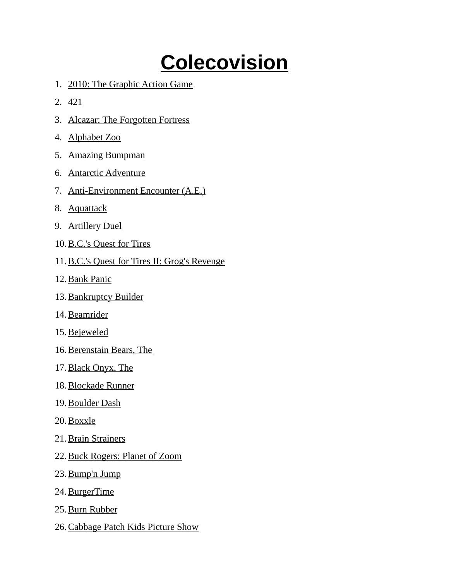## **Colecovision**

- 1. 2010: The Graphic Action Game
- 2. 421
- 3. Alcazar: The Forgotten Fortress
- 4. Alphabet Zoo
- 5. Amazing Bumpman
- 6. Antarctic Adventure
- 7. Anti-Environment Encounter (A.E.)
- 8. Aquattack
- 9. Artillery Duel
- 10. B.C.'s Quest for Tires
- 11.B.C.'s Quest for Tires II: Grog's Revenge
- 12. Bank Panic
- 13. Bankruptcy Builder
- 14. Beamrider
- 15. Bejeweled
- 16. Berenstain Bears, The
- 17. Black Onyx, The
- 18. Blockade Runner
- 19. Boulder Dash
- 20. Boxxle
- 21. Brain Strainers
- 22. Buck Rogers: Planet of Zoom
- 23. Bump'n Jump
- 24. BurgerTime
- 25. Burn Rubber
- 26. Cabbage Patch Kids Picture Show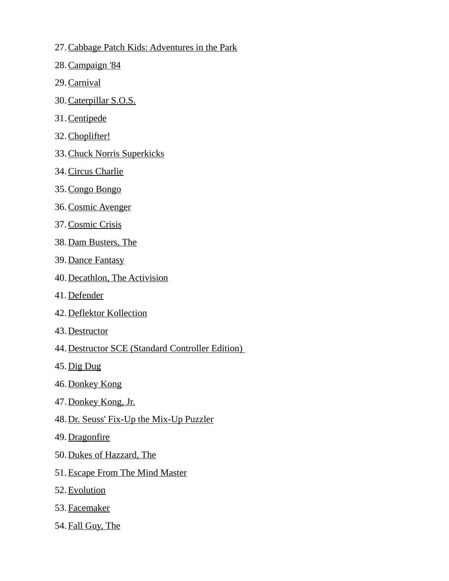- 27. Cabbage Patch Kids: Adventures in the Park
- 28. Campaign '84
- 29. Carnival
- 30. Caterpillar S.O.S.
- 31. Centipede
- 32. Choplifter!
- 33. Chuck Norris Superkicks
- 34. Circus Charlie
- 35. Congo Bongo
- 36. Cosmic Avenger
- 37. Cosmic Crisis
- 38. Dam Busters, The
- 39. Dance Fantasy
- 40. Decathlon, The Activision
- 41. Defender
- 42. Deflektor Kollection
- 43. Destructor
- 44.Destructor SCE (Standard Controller Edition)
- 45. Dig Dug
- 46. Donkey Kong
- 47. Donkey Kong, Jr.
- 48.Dr. Seuss' Fix-Up the Mix-Up Puzzler
- 49. Dragonfire
- 50. Dukes of Hazzard, The
- 51. Escape From The Mind Master
- 52. Evolution
- 53. Facemaker
- 54. Fall Guy, The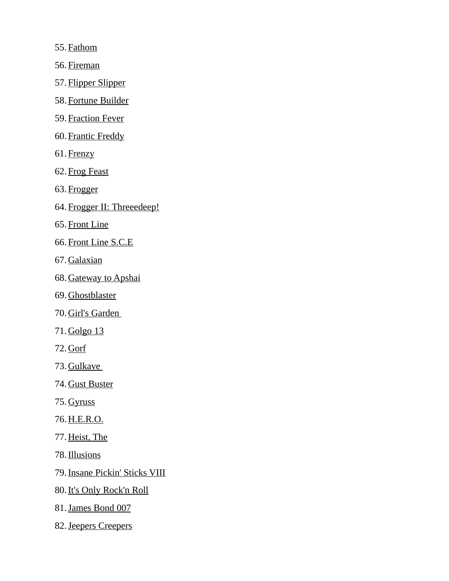55. Fathom

56. Fireman

57. Flipper Slipper

58. Fortune Builder

59. Fraction Fever

60. Frantic Freddy

61. Frenzy

62. Frog Feast

63. Frogger

64. Frogger II: Threeedeep!

65. Front Line

66. Front Line S.C.E

67. Galaxian

68. Gateway to Apshai

69. Ghostblaster

70. Girl's Garden

71. Golgo 13

72. Gorf

73. Gulkave

74. Gust Buster

75. Gyruss

76. H.E.R.O.

77. Heist, The

78. Illusions

79. Insane Pickin' Sticks VIII

80. It's Only Rock'n Roll

81. James Bond 007

82. Jeepers Creepers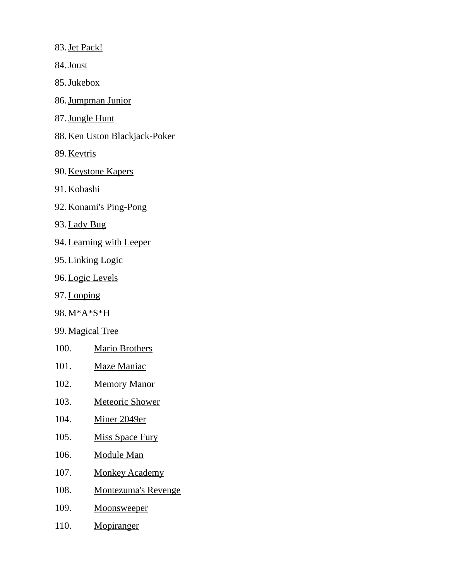83. Jet Pack!

84. Joust

85. Jukebox

- 86. Jumpman Junior
- 87. Jungle Hunt
- 88. Ken Uston Blackjack-Poker
- 89. Kevtris
- 90. Keystone Kapers
- 91. Kobashi
- 92. Konami's Ping-Pong
- 93. Lady Bug
- 94. Learning with Leeper
- 95. Linking Logic
- 96. Logic Levels
- 97. Looping
- 98. M\*A\*S\*H
- 99. Magical Tree
- 100. Mario Brothers
- 101. Maze Maniac
- 102. Memory Manor
- 103. Meteoric Shower
- 104. Miner 2049er
- 105. Miss Space Fury
- 106. Module Man
- 107. Monkey Academy
- 108. Montezuma's Revenge
- 109. Moonsweeper
- 110. Mopiranger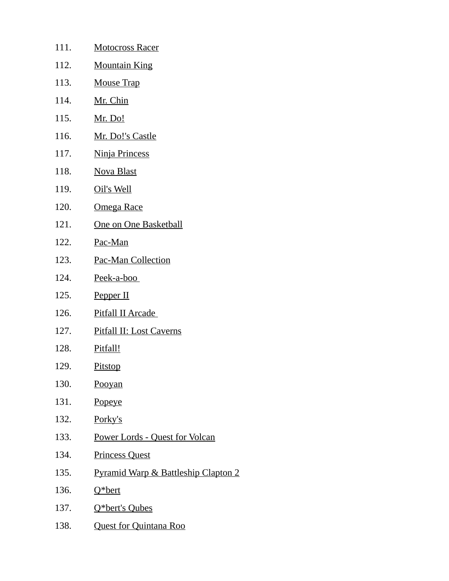| 111. | <u>Motocross Racer</u>                         |
|------|------------------------------------------------|
| 112. | <b>Mountain King</b>                           |
| 113. | <b>Mouse Trap</b>                              |
| 114. | <u>Mr. Chin</u>                                |
| 115. | <u>Mr. Do!</u>                                 |
| 116. | Mr. Do!'s Castle                               |
| 117. | Ninja Princess                                 |
| 118. | <b>Nova Blast</b>                              |
| 119. | Oil's Well                                     |
| 120. | <b>Omega Race</b>                              |
| 121. | <b>One on One Basketball</b>                   |
| 122. | Pac-Man                                        |
| 123. | <b>Pac-Man Collection</b>                      |
| 124. | Peek-a-boo                                     |
| 125. | Pepper II                                      |
| 126. | <b>Pitfall II Arcade</b>                       |
| 127. | <b>Pitfall II: Lost Caverns</b>                |
| 128. | Pitfall!                                       |
| 129. | <b>Pitstop</b>                                 |
| 130. | Pooyan                                         |
| 131. | <b>Popeye</b>                                  |
| 132. | <u>Porky's</u>                                 |
| 133. | Power Lords - Quest for Volcan                 |
| 134. | <b>Princess Quest</b>                          |
| 135. | <b>Pyramid Warp &amp; Battleship Clapton 2</b> |
| 136. | Q*bert                                         |
| 137. | Q*bert's Qubes                                 |
| 138. | <b>Quest for Quintana Roo</b>                  |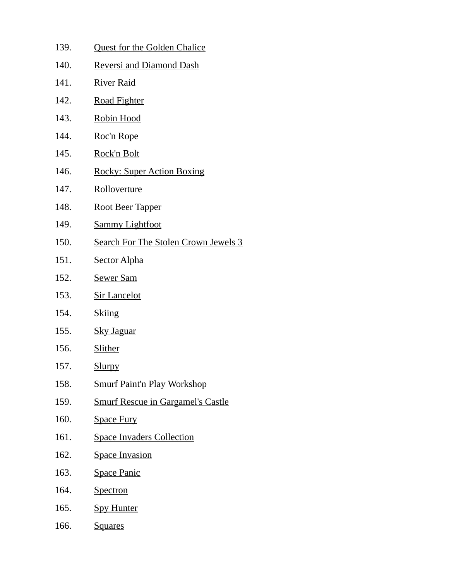- 139. Quest for the Golden Chalice
- 140. Reversi and Diamond Dash
- 141. River Raid
- 142. Road Fighter
- 143. Robin Hood
- 144. Roc'n Rope
- 145. Rock'n Bolt
- 146. Rocky: Super Action Boxing
- 147. Rolloverture
- 148. Root Beer Tapper
- 149. Sammy Lightfoot
- 150. Search For The Stolen Crown Jewels 3
- 151. Sector Alpha
- 152. Sewer Sam
- 153. Sir Lancelot
- 154. Skiing
- 155. Sky Jaguar
- 156. Slither
- 157. Slurpy
- 158. Smurf Paint'n Play Workshop
- 159. Smurf Rescue in Gargamel's Castle
- 160. Space Fury
- 161. Space Invaders Collection
- 162. Space Invasion
- 163. Space Panic
- 164. Spectron
- 165. Spy Hunter
- 166. Squares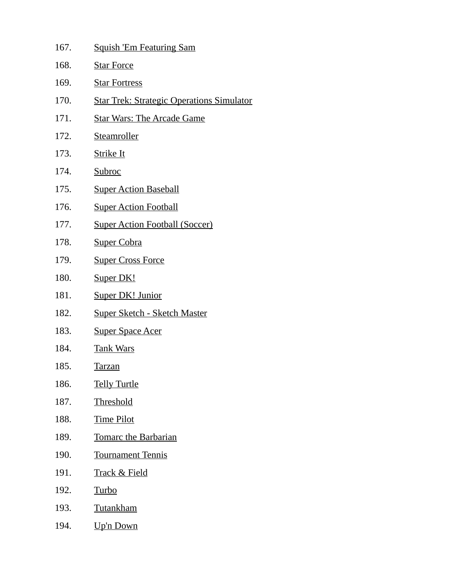| 167. | <b>Squish 'Em Featuring Sam</b>                  |
|------|--------------------------------------------------|
| 168. | <b>Star Force</b>                                |
| 169. | <b>Star Fortress</b>                             |
| 170. | <b>Star Trek: Strategic Operations Simulator</b> |
| 171. | <b>Star Wars: The Arcade Game</b>                |
| 172. | <b>Steamroller</b>                               |
| 173. | <b>Strike It</b>                                 |
| 174. | <b>Subroc</b>                                    |
| 175. | <b>Super Action Baseball</b>                     |
| 176. | <b>Super Action Football</b>                     |
| 177. | <b>Super Action Football (Soccer)</b>            |
| 178. | <b>Super Cobra</b>                               |
| 179. | <b>Super Cross Force</b>                         |
| 180. | Super DK!                                        |
| 181. | <b>Super DK! Junior</b>                          |
| 182. | <u> Super Sketch - Sketch Master</u>             |
| 183. | <b>Super Space Acer</b>                          |
| 184. | <u>Tank Wars</u>                                 |
| 185. | <u>Tarzan</u>                                    |
| 186. | <b>Telly Turtle</b>                              |
| 187. | <b>Threshold</b>                                 |
| 188. | <b>Time Pilot</b>                                |
| 189. | <b>Tomarc the Barbarian</b>                      |
| 190. | <b>Tournament Tennis</b>                         |
| 191. | <u> Track &amp; Field</u>                        |
| 192. | <u>Turbo</u>                                     |
| 193. | <b>Tutankham</b>                                 |
| 194. | Up'n Down                                        |